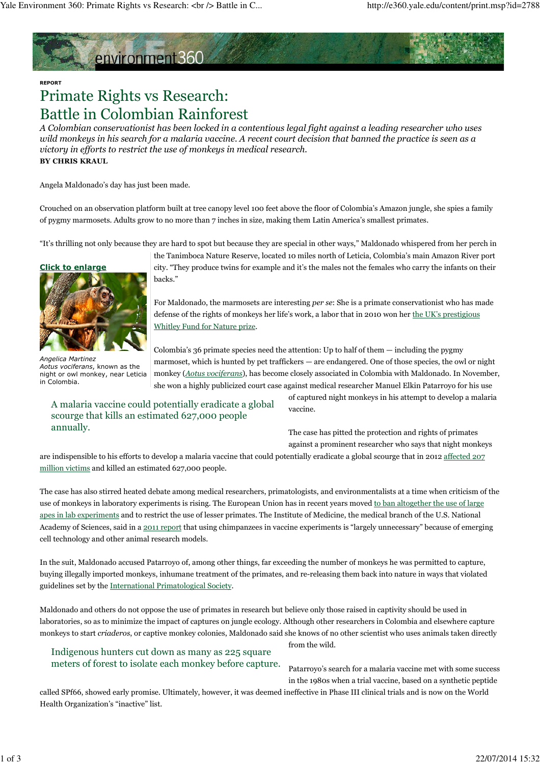# environment360

### REPORT

# Primate Rights vs Research: Battle in Colombian Rainforest

A Colombian conservationist has been locked in a contentious legal fight against a leading researcher who uses wild monkeys in his search for a malaria vaccine. A recent court decision that banned the practice is seen as a victory in efforts to restrict the use of monkeys in medical research. BY CHRIS KRAUL

Angela Maldonado's day has just been made.

Crouched on an observation platform built at tree canopy level 100 feet above the floor of Colombia's Amazon jungle, she spies a family of pygmy marmosets. Adults grow to no more than 7 inches in size, making them Latin America's smallest primates.

"It's thrilling not only because they are hard to spot but because they are special in other ways," Maldonado whispered from her perch in

# Click to enlarge



Angelica Martinez Aotus vociferans, known as the night or owl monkey, near Leticia in Colombia.

the Tanimboca Nature Reserve, located 10 miles north of Leticia, Colombia's main Amazon River port city. "They produce twins for example and it's the males not the females who carry the infants on their backs."

For Maldonado, the marmosets are interesting per se: She is a primate conservationist who has made defense of the rights of monkeys her life's work, a labor that in 2010 won her the UK's prestigious Whitley Fund for Nature prize.

Colombia's 36 primate species need the attention: Up to half of them — including the pygmy marmoset, which is hunted by pet traffickers — are endangered. One of those species, the owl or night monkey (Aotus vociferans), has become closely associated in Colombia with Maldonado. In November, she won a highly publicized court case against medical researcher Manuel Elkin Patarroyo for his use

A malaria vaccine could potentially eradicate a global scourge that kills an estimated 627,000 people annually.

of captured night monkeys in his attempt to develop a malaria vaccine.

The case has pitted the protection and rights of primates against a prominent researcher who says that night monkeys

are indispensible to his efforts to develop a malaria vaccine that could potentially eradicate a global scourge that in 2012 affected 207 million victims and killed an estimated 627,000 people.

The case has also stirred heated debate among medical researchers, primatologists, and environmentalists at a time when criticism of the use of monkeys in laboratory experiments is rising. The European Union has in recent years moved to ban altogether the use of large apes in lab experiments and to restrict the use of lesser primates. The Institute of Medicine, the medical branch of the U.S. National Academy of Sciences, said in a 2011 report that using chimpanzees in vaccine experiments is "largely unnecessary" because of emerging cell technology and other animal research models.

In the suit, Maldonado accused Patarroyo of, among other things, far exceeding the number of monkeys he was permitted to capture, buying illegally imported monkeys, inhumane treatment of the primates, and re-releasing them back into nature in ways that violated guidelines set by the International Primatological Society.

Maldonado and others do not oppose the use of primates in research but believe only those raised in captivity should be used in laboratories, so as to minimize the impact of captures on jungle ecology. Although other researchers in Colombia and elsewhere capture monkeys to start criaderos, or captive monkey colonies, Maldonado said she knows of no other scientist who uses animals taken directly

from the wild.

Indigenous hunters cut down as many as 225 square meters of forest to isolate each monkey before capture.

Patarroyo's search for a malaria vaccine met with some success in the 1980s when a trial vaccine, based on a synthetic peptide

called SPf66, showed early promise. Ultimately, however, it was deemed ineffective in Phase III clinical trials and is now on the World Health Organization's "inactive" list.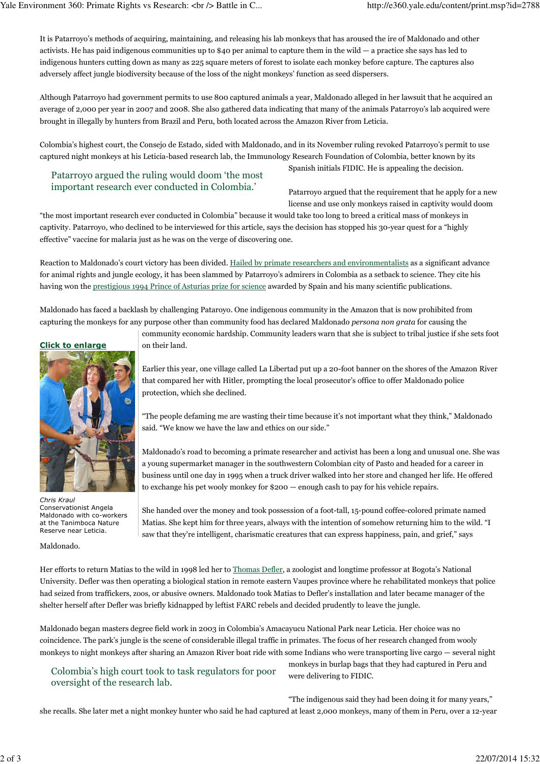It is Patarroyo's methods of acquiring, maintaining, and releasing his lab monkeys that has aroused the ire of Maldonado and other activists. He has paid indigenous communities up to \$40 per animal to capture them in the wild — a practice she says has led to indigenous hunters cutting down as many as 225 square meters of forest to isolate each monkey before capture. The captures also adversely affect jungle biodiversity because of the loss of the night monkeys' function as seed dispersers.

Although Patarroyo had government permits to use 800 captured animals a year, Maldonado alleged in her lawsuit that he acquired an average of 2,000 per year in 2007 and 2008. She also gathered data indicating that many of the animals Patarroyo's lab acquired were brought in illegally by hunters from Brazil and Peru, both located across the Amazon River from Leticia.

Colombia's highest court, the Consejo de Estado, sided with Maldonado, and in its November ruling revoked Patarroyo's permit to use captured night monkeys at his Leticia-based research lab, the Immunology Research Foundation of Colombia, better known by its

# Patarroyo argued the ruling would doom 'the most important research ever conducted in Colombia.'

Spanish initials FIDIC. He is appealing the decision.

Patarroyo argued that the requirement that he apply for a new license and use only monkeys raised in captivity would doom

"the most important research ever conducted in Colombia" because it would take too long to breed a critical mass of monkeys in captivity. Patarroyo, who declined to be interviewed for this article, says the decision has stopped his 30-year quest for a "highly effective" vaccine for malaria just as he was on the verge of discovering one.

Reaction to Maldonado's court victory has been divided. Hailed by primate researchers and environmentalists as a significant advance for animal rights and jungle ecology, it has been slammed by Patarroyo's admirers in Colombia as a setback to science. They cite his having won the prestigious 1994 Prince of Asturias prize for science awarded by Spain and his many scientific publications.

Maldonado has faced a backlash by challenging Pataroyo. One indigenous community in the Amazon that is now prohibited from capturing the monkeys for any purpose other than community food has declared Maldonado persona non grata for causing the

> community economic hardship. Community leaders warn that she is subject to tribal justice if she sets foot on their land.

> Earlier this year, one village called La Libertad put up a 20-foot banner on the shores of the Amazon River that compared her with Hitler, prompting the local prosecutor's office to offer Maldonado police protection, which she declined.

"The people defaming me are wasting their time because it's not important what they think," Maldonado said. "We know we have the law and ethics on our side."

Maldonado's road to becoming a primate researcher and activist has been a long and unusual one. She was a young supermarket manager in the southwestern Colombian city of Pasto and headed for a career in business until one day in 1995 when a truck driver walked into her store and changed her life. He offered to exchange his pet wooly monkey for \$200 — enough cash to pay for his vehicle repairs.

She handed over the money and took possession of a foot-tall, 15-pound coffee-colored primate named Matias. She kept him for three years, always with the intention of somehow returning him to the wild. "I saw that they're intelligent, charismatic creatures that can express happiness, pain, and grief," says

Maldonado.

Her efforts to return Matias to the wild in 1998 led her to Thomas Defler, a zoologist and longtime professor at Bogota's National University. Defler was then operating a biological station in remote eastern Vaupes province where he rehabilitated monkeys that police had seized from traffickers, zoos, or abusive owners. Maldonado took Matias to Defler's installation and later became manager of the shelter herself after Defler was briefly kidnapped by leftist FARC rebels and decided prudently to leave the jungle.

Maldonado began masters degree field work in 2003 in Colombia's Amacayucu National Park near Leticia. Her choice was no coincidence. The park's jungle is the scene of considerable illegal traffic in primates. The focus of her research changed from wooly monkeys to night monkeys after sharing an Amazon River boat ride with some Indians who were transporting live cargo — several night

Colombia's high court took to task regulators for poor oversight of the research lab.

monkeys in burlap bags that they had captured in Peru and were delivering to FIDIC.

"The indigenous said they had been doing it for many years," she recalls. She later met a night monkey hunter who said he had captured at least 2,000 monkeys, many of them in Peru, over a 12-year



Chris Kraul Conservationist Angela Maldonado with co-workers at the Tanimboca Nature Reserve near Leticia.